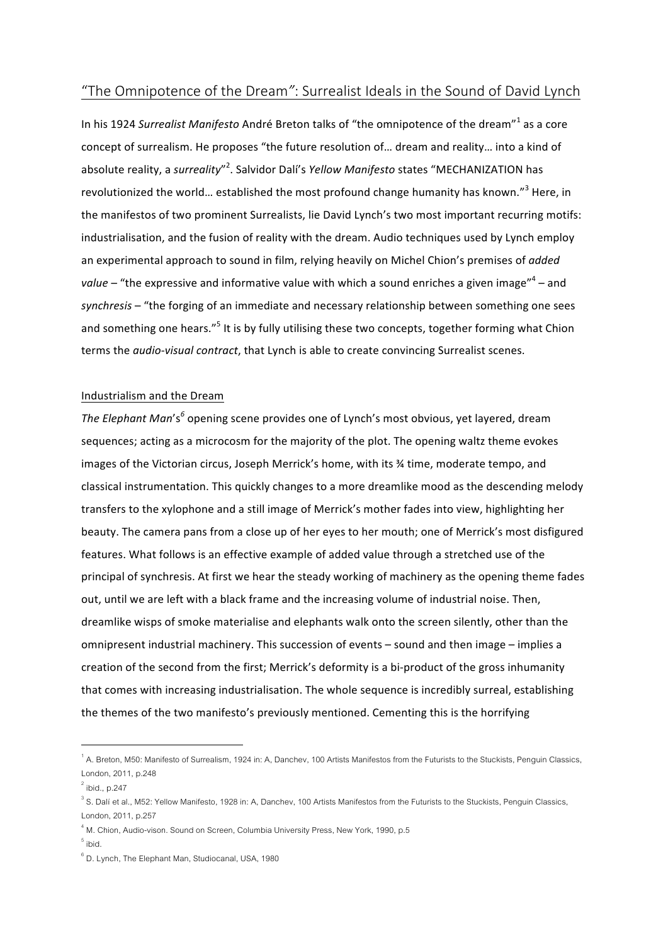# "The Omnipotence of the Dream": Surrealist Ideals in the Sound of David Lynch

In his 1924 Surrealist Manifesto André Breton talks of "the omnipotence of the dream"<sup>1</sup> as a core concept of surrealism. He proposes "the future resolution of... dream and reality... into a kind of absolute reality, a surreality"<sup>2</sup>. Salvidor Dalí's Yellow Manifesto states "MECHANIZATION has revolutionized the world... established the most profound change humanity has known."<sup>3</sup> Here, in the manifestos of two prominent Surrealists, lie David Lynch's two most important recurring motifs: industrialisation, and the fusion of reality with the dream. Audio techniques used by Lynch employ an experimental approach to sound in film, relying heavily on Michel Chion's premises of *added* value – "the expressive and informative value with which a sound enriches a given image"<sup>4</sup> – and synchresis – "the forging of an immediate and necessary relationship between something one sees and something one hears."<sup>5</sup> It is by fully utilising these two concepts, together forming what Chion terms the *audio-visual contract*, that Lynch is able to create convincing Surrealist scenes.

#### Industrialism and the Dream

*The Elephant Man's*<sup>6</sup> opening scene provides one of Lynch's most obvious, yet layered, dream sequences; acting as a microcosm for the majority of the plot. The opening waltz theme evokes images of the Victorian circus, Joseph Merrick's home, with its % time, moderate tempo, and classical instrumentation. This quickly changes to a more dreamlike mood as the descending melody transfers to the xylophone and a still image of Merrick's mother fades into view, highlighting her beauty. The camera pans from a close up of her eyes to her mouth; one of Merrick's most disfigured features. What follows is an effective example of added value through a stretched use of the principal of synchresis. At first we hear the steady working of machinery as the opening theme fades out, until we are left with a black frame and the increasing volume of industrial noise. Then, dreamlike wisps of smoke materialise and elephants walk onto the screen silently, other than the omnipresent industrial machinery. This succession of events – sound and then image – implies a creation of the second from the first; Merrick's deformity is a bi-product of the gross inhumanity that comes with increasing industrialisation. The whole sequence is incredibly surreal, establishing the themes of the two manifesto's previously mentioned. Cementing this is the horrifying

 $^{\circ}$  A. Breton, M50: Manifesto of Surrealism, 1924 in: A, Danchev, 100 Artists Manifestos from the Futurists to the Stuckists, Penguin Classics, London, 2011, p.248

 $2^{2}$  ibid., p.247

 $^3$  S. Dalí et al., M52: Yellow Manifesto, 1928 in: A, Danchev, 100 Artists Manifestos from the Futurists to the Stuckists, Penguin Classics, London, 2011, p.257

 $^4$  M. Chion, Audio-vison. Sound on Screen, Columbia University Press, New York, 1990, p.5

 $5$  ibid.

 $^{\rm 6}$  D. Lynch, The Elephant Man, Studiocanal, USA, 1980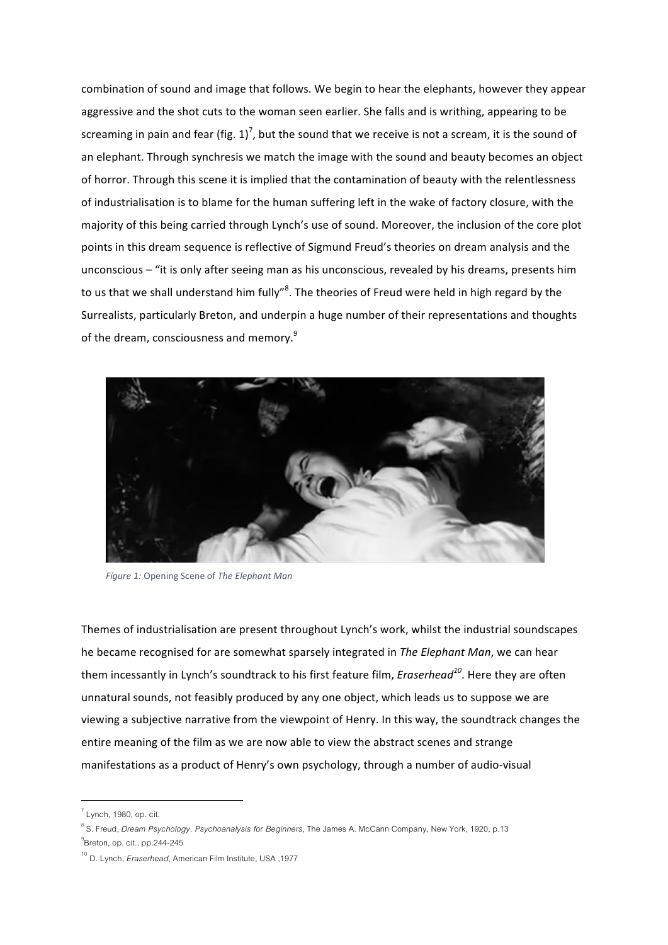combination of sound and image that follows. We begin to hear the elephants, however they appear aggressive and the shot cuts to the woman seen earlier. She falls and is writhing, appearing to be screaming in pain and fear (fig. 1)<sup>7</sup>, but the sound that we receive is not a scream, it is the sound of an elephant. Through synchresis we match the image with the sound and beauty becomes an object of horror. Through this scene it is implied that the contamination of beauty with the relentlessness of industrialisation is to blame for the human suffering left in the wake of factory closure, with the majority of this being carried through Lynch's use of sound. Moreover, the inclusion of the core plot points in this dream sequence is reflective of Sigmund Freud's theories on dream analysis and the unconscious – "it is only after seeing man as his unconscious, revealed by his dreams, presents him to us that we shall understand him fully"<sup>8</sup>. The theories of Freud were held in high regard by the Surrealists, particularly Breton, and underpin a huge number of their representations and thoughts of the dream, consciousness and memory.<sup>9</sup>



*Figure 1:* Opening Scene of *The Elephant Man*

Themes of industrialisation are present throughout Lynch's work, whilst the industrial soundscapes he became recognised for are somewhat sparsely integrated in *The Elephant Man*, we can hear them incessantly in Lynch's soundtrack to his first feature film, *Eraserhead*<sup>10</sup>. Here they are often unnatural sounds, not feasibly produced by any one object, which leads us to suppose we are viewing a subjective narrative from the viewpoint of Henry. In this way, the soundtrack changes the entire meaning of the film as we are now able to view the abstract scenes and strange manifestations as a product of Henry's own psychology, through a number of audio-visual

 $^7$  Lynch, 1980, op. cit.

<sup>8</sup> S. Freud, *Dream Psychology. Psychoanalysis for Beginners*, The James A. McCann Company, New York, 1920, p.13

<sup>&</sup>lt;sup>9</sup>Breton, op. cit., pp.244-245

<sup>10</sup> D. Lynch, *Eraserhead*, American Film Institute, USA ,1977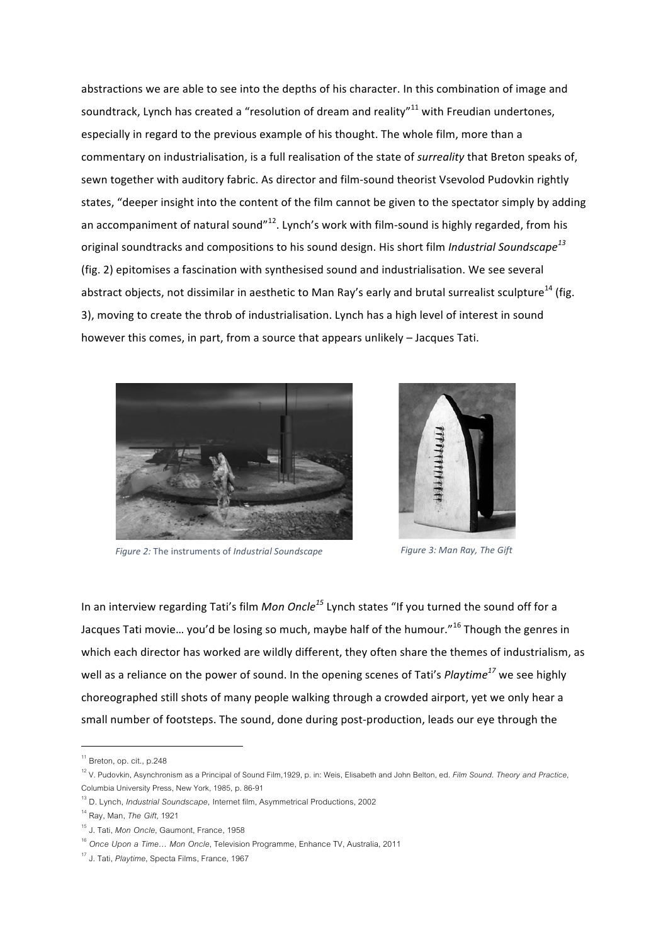abstractions we are able to see into the depths of his character. In this combination of image and soundtrack, Lynch has created a "resolution of dream and reality" $^{11}$  with Freudian undertones, especially in regard to the previous example of his thought. The whole film, more than a commentary on industrialisation, is a full realisation of the state of *surreality* that Breton speaks of, sewn together with auditory fabric. As director and film-sound theorist Vsevolod Pudovkin rightly states, "deeper insight into the content of the film cannot be given to the spectator simply by adding an accompaniment of natural sound"<sup>12</sup>. Lynch's work with film-sound is highly regarded, from his original soundtracks and compositions to his sound design. His short film *Industrial Soundscape*<sup>13</sup> (fig. 2) epitomises a fascination with synthesised sound and industrialisation. We see several abstract objects, not dissimilar in aesthetic to Man Ray's early and brutal surrealist sculpture<sup>14</sup> (fig. 3), moving to create the throb of industrialisation. Lynch has a high level of interest in sound however this comes, in part, from a source that appears unlikely – Jacques Tati.



*Figure* 2: The instruments of *Industrial Soundscape* **Figure** 3: Man Ray, The Gift



In an interview regarding Tati's film *Mon Oncle*<sup>15</sup> Lynch states "If you turned the sound off for a Jacques Tati movie... you'd be losing so much, maybe half of the humour."<sup>16</sup> Though the genres in which each director has worked are wildly different, they often share the themes of industrialism, as well as a reliance on the power of sound. In the opening scenes of Tati's *Playtime*<sup>17</sup> we see highly choreographed still shots of many people walking through a crowded airport, yet we only hear a small number of footsteps. The sound, done during post-production, leads our eye through the

<sup>&</sup>lt;sup>11</sup> Breton, op. cit., p.248

<sup>12</sup> V. Pudovkin, Asynchronism as a Principal of Sound Film,1929, p. in: Weis, Elisabeth and John Belton, ed. *Film Sound. Theory and Practice*, Columbia University Press, New York, 1985, p. 86-91

<sup>13</sup> D. Lynch, *Industrial Soundscape,* Internet film, Asymmetrical Productions, 2002

<sup>14</sup> Ray, Man, *The Gift*, 1921

<sup>15</sup> J. Tati, *Mon Oncle*, Gaumont, France, 1958

<sup>16</sup> *Once Upon a Time… Mon Oncle*, Television Programme, Enhance TV, Australia, 2011

<sup>17</sup> J. Tati, *Playtime*, Specta Films, France, 1967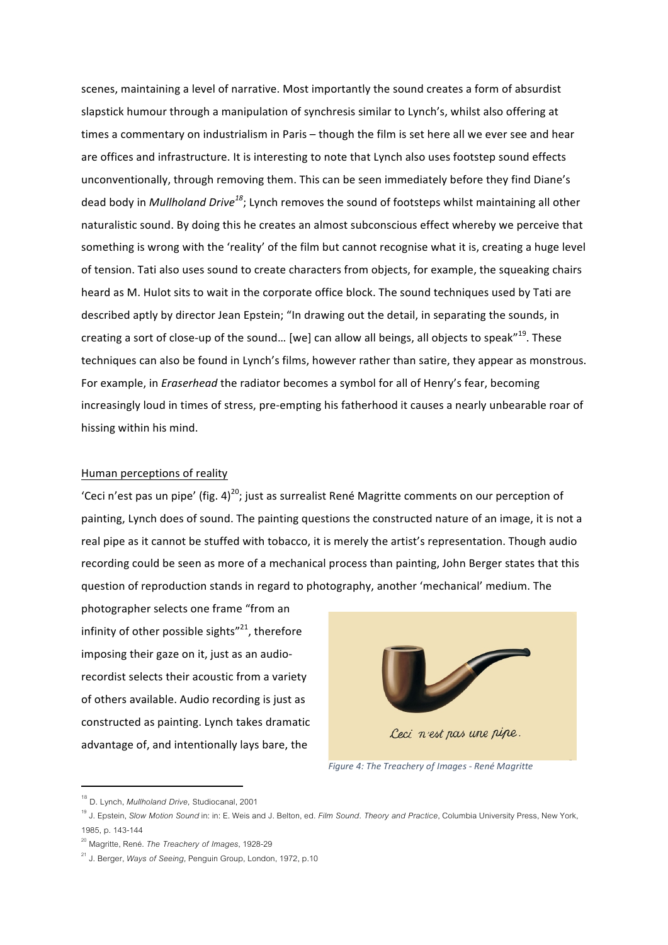scenes, maintaining a level of narrative. Most importantly the sound creates a form of absurdist slapstick humour through a manipulation of synchresis similar to Lynch's, whilst also offering at times a commentary on industrialism in Paris - though the film is set here all we ever see and hear are offices and infrastructure. It is interesting to note that Lynch also uses footstep sound effects unconventionally, through removing them. This can be seen immediately before they find Diane's dead body in *Mullholand Drive<sup>18</sup>*; Lynch removes the sound of footsteps whilst maintaining all other naturalistic sound. By doing this he creates an almost subconscious effect whereby we perceive that something is wrong with the 'reality' of the film but cannot recognise what it is, creating a huge level of tension. Tati also uses sound to create characters from objects, for example, the squeaking chairs heard as M. Hulot sits to wait in the corporate office block. The sound techniques used by Tati are described aptly by director Jean Epstein; "In drawing out the detail, in separating the sounds, in creating a sort of close-up of the sound... [we] can allow all beings, all objects to speak"<sup>19</sup>. These techniques can also be found in Lynch's films, however rather than satire, they appear as monstrous. For example, in *Eraserhead* the radiator becomes a symbol for all of Henry's fear, becoming increasingly loud in times of stress, pre-empting his fatherhood it causes a nearly unbearable roar of hissing within his mind.

### Human perceptions of reality

'Ceci n'est pas un pipe' (fig. 4)<sup>20</sup>; just as surrealist René Magritte comments on our perception of painting, Lynch does of sound. The painting questions the constructed nature of an image, it is not a real pipe as it cannot be stuffed with tobacco, it is merely the artist's representation. Though audio recording could be seen as more of a mechanical process than painting, John Berger states that this question of reproduction stands in regard to photography, another 'mechanical' medium. The

photographer selects one frame "from an infinity of other possible sights" $^{21}$ , therefore imposing their gaze on it, just as an audiorecordist selects their acoustic from a variety of others available. Audio recording is just as constructed as painting. Lynch takes dramatic advantage of, and intentionally lays bare, the



*Figure 4: The Treachery of Images - René Magritte*

 <sup>18</sup> D. Lynch, *Mullholand Drive,* Studiocanal, 2001

<sup>19</sup> J. Epstein, *Slow Motion Sound* in: in: E. Weis and J. Belton, ed. *Film Sound. Theory and Practice*, Columbia University Press, New York, 1985, p. 143-144

<sup>20</sup> Magritte, René. *The Treachery of Images*, 1928-29

<sup>21</sup> J. Berger, *Ways of Seeing,* Penguin Group, London, 1972, p.10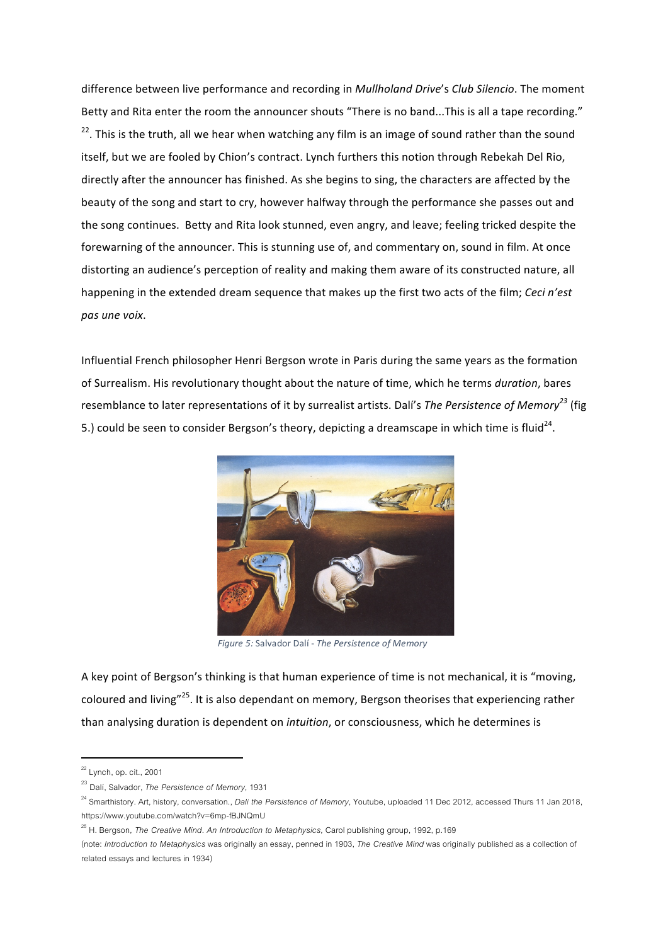difference between live performance and recording in *Mullholand Drive's Club Silencio*. The moment Betty and Rita enter the room the announcer shouts "There is no band...This is all a tape recording."  $22$ . This is the truth, all we hear when watching any film is an image of sound rather than the sound itself, but we are fooled by Chion's contract. Lynch furthers this notion through Rebekah Del Rio, directly after the announcer has finished. As she begins to sing, the characters are affected by the beauty of the song and start to cry, however halfway through the performance she passes out and the song continues. Betty and Rita look stunned, even angry, and leave; feeling tricked despite the forewarning of the announcer. This is stunning use of, and commentary on, sound in film. At once distorting an audience's perception of reality and making them aware of its constructed nature, all happening in the extended dream sequence that makes up the first two acts of the film; *Ceci n'est pas une voix*.

Influential French philosopher Henri Bergson wrote in Paris during the same years as the formation of Surrealism. His revolutionary thought about the nature of time, which he terms *duration*, bares resemblance to later representations of it by surrealist artists. Dalí's *The Persistence of Memory*<sup>23</sup> (fig 5.) could be seen to consider Bergson's theory, depicting a dreamscape in which time is fluid<sup>24</sup>.



*Figure 5:* Salvador Dalí - *The Persistence of Memory*

A key point of Bergson's thinking is that human experience of time is not mechanical, it is "moving, coloured and living"<sup>25</sup>. It is also dependant on memory, Bergson theorises that experiencing rather than analysing duration is dependent on *intuition*, or consciousness, which he determines is

 $22$  Lynch, op. cit., 2001

<sup>23</sup> Dalí, Salvador, *The Persistence of Memory*, 1931

<sup>24</sup> Smarthistory. Art, history, conversation., *Dali the Persistence of Memory*, Youtube, uploaded 11 Dec 2012, accessed Thurs 11 Jan 2018, https://www.youtube.com/watch?v=6mp-fBJNQmU

<sup>&</sup>lt;sup>25</sup> H. Bergson, *The Creative Mind. An Introduction to Metaphysics*, Carol publishing group, 1992, p.169

<sup>(</sup>note: *Introduction to Metaphysics* was originally an essay, penned in 1903, *The Creative Mind* was originally published as a collection of related essays and lectures in 1934)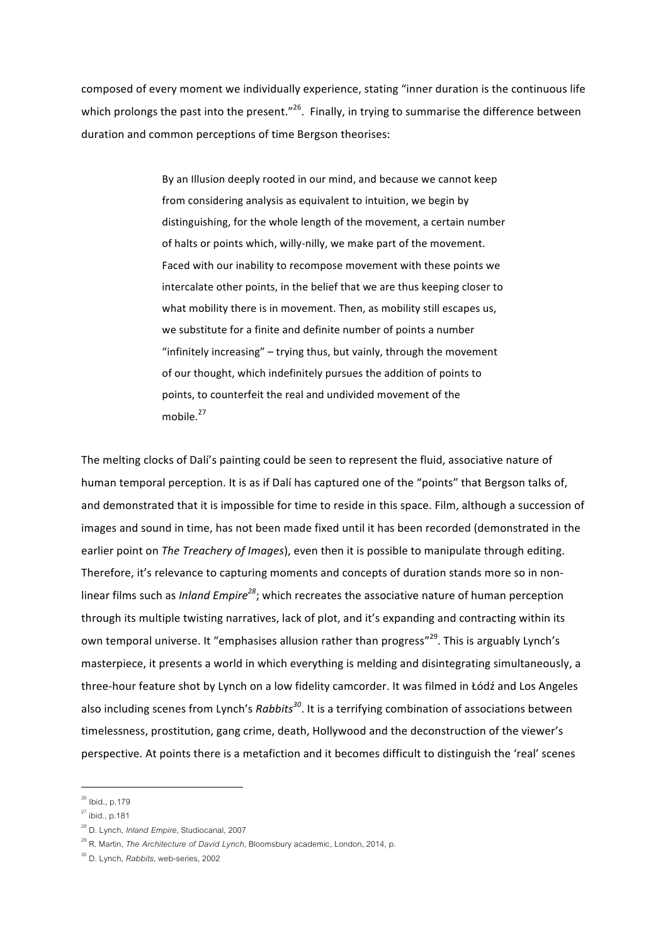composed of every moment we individually experience, stating "inner duration is the continuous life which prolongs the past into the present."<sup>26</sup>. Finally, in trying to summarise the difference between duration and common perceptions of time Bergson theorises:

> By an Illusion deeply rooted in our mind, and because we cannot keep from considering analysis as equivalent to intuition, we begin by distinguishing, for the whole length of the movement, a certain number of halts or points which, willy-nilly, we make part of the movement. Faced with our inability to recompose movement with these points we intercalate other points, in the belief that we are thus keeping closer to what mobility there is in movement. Then, as mobility still escapes us, we substitute for a finite and definite number of points a number "infinitely increasing"  $-$  trying thus, but vainly, through the movement of our thought, which indefinitely pursues the addition of points to points, to counterfeit the real and undivided movement of the mobile.<sup>27</sup>

The melting clocks of Dalí's painting could be seen to represent the fluid, associative nature of human temporal perception. It is as if Dalí has captured one of the "points" that Bergson talks of, and demonstrated that it is impossible for time to reside in this space. Film, although a succession of images and sound in time, has not been made fixed until it has been recorded (demonstrated in the earlier point on *The Treachery of Images*), even then it is possible to manipulate through editing. Therefore, it's relevance to capturing moments and concepts of duration stands more so in nonlinear films such as *Inland Empire<sup>28</sup>*; which recreates the associative nature of human perception through its multiple twisting narratives, lack of plot, and it's expanding and contracting within its own temporal universe. It "emphasises allusion rather than progress"<sup>29</sup>. This is arguably Lynch's masterpiece, it presents a world in which everything is melding and disintegrating simultaneously, a three-hour feature shot by Lynch on a low fidelity camcorder. It was filmed in Łódź and Los Angeles also including scenes from Lynch's *Rabbits*<sup>30</sup>. It is a terrifying combination of associations between timelessness, prostitution, gang crime, death, Hollywood and the deconstruction of the viewer's perspective. At points there is a metafiction and it becomes difficult to distinguish the 'real' scenes

 $26$  Ibid., p.179

 $27$  ibid., p.181

<sup>28</sup> D. Lynch, *Inland Empire*, Studiocanal, 2007

<sup>29</sup> R. Martin, *The Architecture of David Lynch*, Bloomsbury academic, London, 2014, p.

<sup>30</sup> D. Lynch, *Rabbits*, web-series, 2002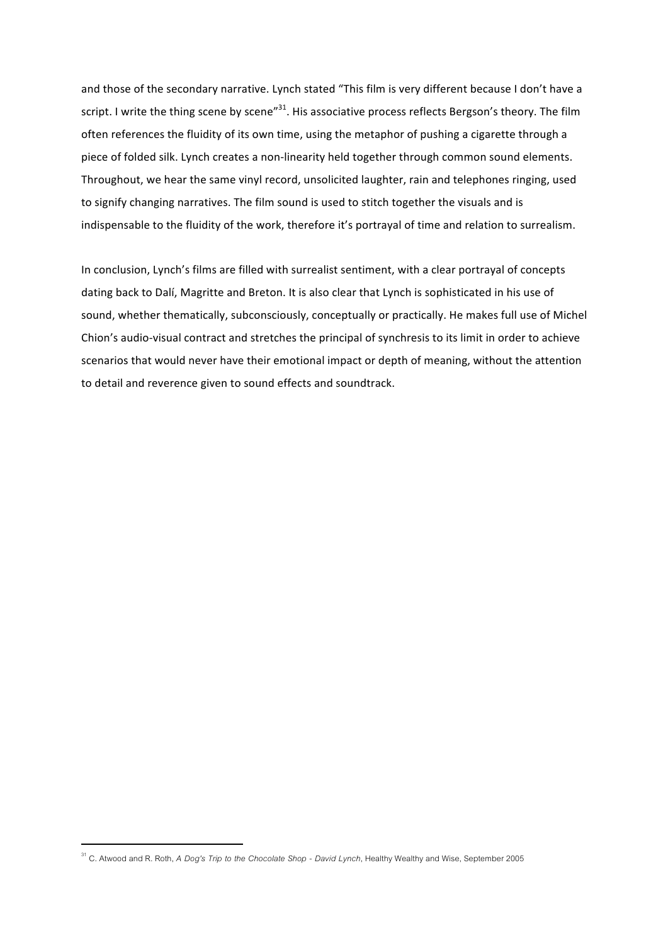and those of the secondary narrative. Lynch stated "This film is very different because I don't have a script. I write the thing scene by scene"<sup>31</sup>. His associative process reflects Bergson's theory. The film often references the fluidity of its own time, using the metaphor of pushing a cigarette through a piece of folded silk. Lynch creates a non-linearity held together through common sound elements. Throughout, we hear the same vinyl record, unsolicited laughter, rain and telephones ringing, used to signify changing narratives. The film sound is used to stitch together the visuals and is indispensable to the fluidity of the work, therefore it's portrayal of time and relation to surrealism.

In conclusion, Lynch's films are filled with surrealist sentiment, with a clear portrayal of concepts dating back to Dalí, Magritte and Breton. It is also clear that Lynch is sophisticated in his use of sound, whether thematically, subconsciously, conceptually or practically. He makes full use of Michel Chion's audio-visual contract and stretches the principal of synchresis to its limit in order to achieve scenarios that would never have their emotional impact or depth of meaning, without the attention to detail and reverence given to sound effects and soundtrack.

<sup>31</sup> C. Atwood and R. Roth, *A Dog's Trip to the Chocolate Shop - David Lynch*, Healthy Wealthy and Wise, September 2005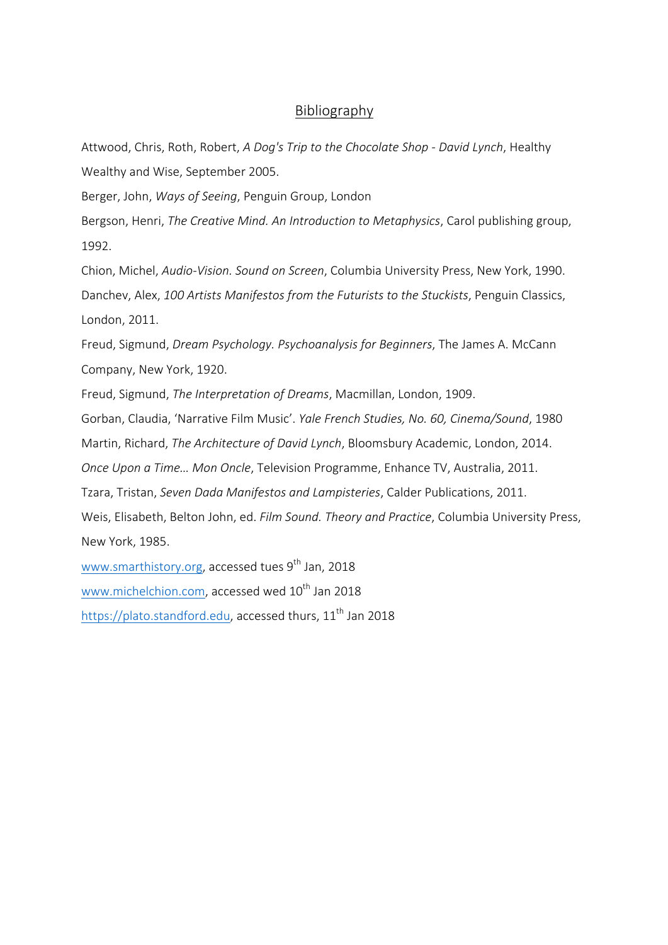### Bibliography

Attwood, Chris, Roth, Robert, *A Dog's Trip to the Chocolate Shop - David Lynch*, Healthy Wealthy and Wise, September 2005.

Berger, John, *Ways of Seeing*, Penguin Group, London

Bergson, Henri, *The Creative Mind. An Introduction to Metaphysics*, Carol publishing group, 1992.

Chion, Michel, *Audio-Vision. Sound on Screen*, Columbia University Press, New York, 1990. Danchev, Alex, 100 Artists Manifestos from the Futurists to the Stuckists, Penguin Classics, London, 2011.

Freud, Sigmund, *Dream Psychology. Psychoanalysis for Beginners*, The James A. McCann Company, New York, 1920.

Freud, Sigmund, *The Interpretation of Dreams*, Macmillan, London, 1909.

Gorban, Claudia, 'Narrative Film Music'. *Yale French Studies, No. 60, Cinema/Sound*, 1980

Martin, Richard, *The Architecture of David Lynch*, Bloomsbury Academic, London, 2014.

*Once Upon a Time... Mon Oncle*, Television Programme, Enhance TV, Australia, 2011.

Tzara, Tristan, Seven Dada Manifestos and Lampisteries, Calder Publications, 2011.

Weis, Elisabeth, Belton John, ed. Film Sound. Theory and Practice, Columbia University Press, New York, 1985.

www.smarthistory.org, accessed tues 9<sup>th</sup> Jan, 2018 www.michelchion.com, accessed wed 10<sup>th</sup> Jan 2018 https://plato.standford.edu, accessed thurs,  $11<sup>th</sup>$  Jan 2018